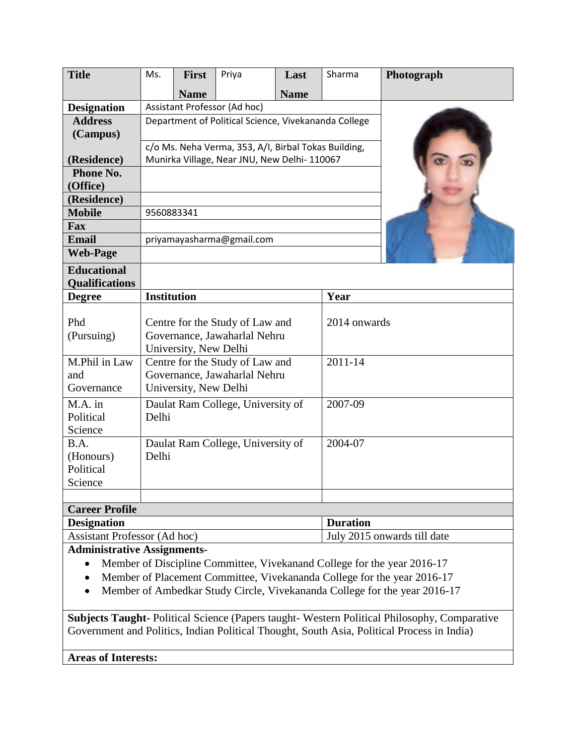| <b>Title</b>                              | Ms.                                                                                      | <b>First</b>                                         | Priya                             | Last        | Sharma       | Photograph |  |
|-------------------------------------------|------------------------------------------------------------------------------------------|------------------------------------------------------|-----------------------------------|-------------|--------------|------------|--|
|                                           |                                                                                          | <b>Name</b>                                          |                                   | <b>Name</b> |              |            |  |
| <b>Designation</b>                        | Assistant Professor (Ad hoc)                                                             |                                                      |                                   |             |              |            |  |
| <b>Address</b>                            | Department of Political Science, Vivekananda College                                     |                                                      |                                   |             |              |            |  |
| (Campus)                                  |                                                                                          |                                                      |                                   |             |              |            |  |
|                                           |                                                                                          | c/o Ms. Neha Verma, 353, A/I, Birbal Tokas Building, |                                   |             |              |            |  |
| (Residence)                               | Munirka Village, Near JNU, New Delhi- 110067                                             |                                                      |                                   |             |              |            |  |
| Phone No.                                 |                                                                                          |                                                      |                                   |             |              |            |  |
| (Office)                                  |                                                                                          |                                                      |                                   |             |              |            |  |
| (Residence)                               |                                                                                          |                                                      |                                   |             |              |            |  |
| <b>Mobile</b>                             | 9560883341                                                                               |                                                      |                                   |             |              |            |  |
| Fax                                       |                                                                                          |                                                      |                                   |             |              |            |  |
| <b>Email</b>                              | priyamayasharma@gmail.com                                                                |                                                      |                                   |             |              |            |  |
| <b>Web-Page</b>                           |                                                                                          |                                                      |                                   |             |              |            |  |
| <b>Educational</b>                        |                                                                                          |                                                      |                                   |             |              |            |  |
| <b>Qualifications</b>                     |                                                                                          |                                                      |                                   |             |              |            |  |
| <b>Degree</b>                             | <b>Institution</b>                                                                       |                                                      |                                   |             | Year         |            |  |
| Phd<br>(Pursuing)                         | Centre for the Study of Law and<br>Governance, Jawaharlal Nehru<br>University, New Delhi |                                                      |                                   |             | 2014 onwards |            |  |
| M.Phil in Law<br>and<br>Governance        | Centre for the Study of Law and<br>Governance, Jawaharlal Nehru<br>University, New Delhi |                                                      |                                   |             | 2011-14      |            |  |
| $M.A.$ in<br>Political<br>Science         | Daulat Ram College, University of<br>Delhi                                               |                                                      |                                   |             | 2007-09      |            |  |
| B.A.<br>(Honours)<br>Political<br>Science | Delhi                                                                                    |                                                      | Daulat Ram College, University of |             | $2004 - 07$  |            |  |
| <b>Career Profile</b>                     |                                                                                          |                                                      |                                   |             |              |            |  |

| Carter Frome                 |                             |  |  |  |  |  |
|------------------------------|-----------------------------|--|--|--|--|--|
| <b>Designation</b>           | <b>Duration</b>             |  |  |  |  |  |
| Assistant Professor (Ad hoc) | July 2015 onwards till date |  |  |  |  |  |
|                              |                             |  |  |  |  |  |

# **Administrative Assignments-**

- Member of Discipline Committee, Vivekanand College for the year 2016-17
- Member of Placement Committee, Vivekananda College for the year 2016-17
- Member of Ambedkar Study Circle, Vivekananda College for the year 2016-17

**Subjects Taught-** Political Science (Papers taught- Western Political Philosophy, Comparative Government and Politics, Indian Political Thought, South Asia, Political Process in India)

**Areas of Interests:**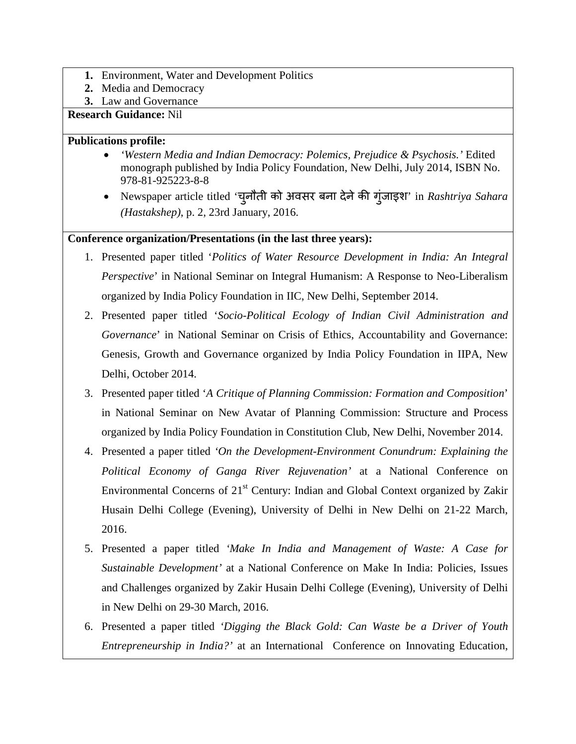- **1.** Environment, Water and Development Politics
- **2.** Media and Democracy
- **3.** Law and Governance

#### **Research Guidance:** Nil

#### **Publications profile:**

- *'Western Media and Indian Democracy: Polemics, Prejudice & Psychosis.'* Edited monograph published by India Policy Foundation, New Delhi, July 2014, ISBN No. 978-81-925223-8-8
- Newspaper article titled 'चनौती ु को अवसर बना देनेक� गुंजाइश' in *Rashtriya Sahara (Hastakshep)*, p. 2, 23rd January, 2016.

# **Conference organization/Presentations (in the last three years):**

- 1. Presented paper titled '*Politics of Water Resource Development in India: An Integral Perspective*' in National Seminar on Integral Humanism: A Response to Neo-Liberalism organized by India Policy Foundation in IIC, New Delhi, September 2014.
- 2. Presented paper titled '*Socio-Political Ecology of Indian Civil Administration and Governance*' in National Seminar on Crisis of Ethics, Accountability and Governance: Genesis, Growth and Governance organized by India Policy Foundation in IIPA, New Delhi, October 2014.
- 3. Presented paper titled '*A Critique of Planning Commission: Formation and Composition*' in National Seminar on New Avatar of Planning Commission: Structure and Process organized by India Policy Foundation in Constitution Club, New Delhi, November 2014.
- 4. Presented a paper titled *'On the Development-Environment Conundrum: Explaining the Political Economy of Ganga River Rejuvenation'* at a National Conference on Environmental Concerns of  $21<sup>st</sup>$  Century: Indian and Global Context organized by Zakir Husain Delhi College (Evening), University of Delhi in New Delhi on 21-22 March, 2016.
- 5. Presented a paper titled *'Make In India and Management of Waste: A Case for Sustainable Development'* at a National Conference on Make In India: Policies, Issues and Challenges organized by Zakir Husain Delhi College (Evening), University of Delhi in New Delhi on 29-30 March, 2016.
- 6. Presented a paper titled *'Digging the Black Gold: Can Waste be a Driver of Youth Entrepreneurship in India?'* at an International Conference on Innovating Education,